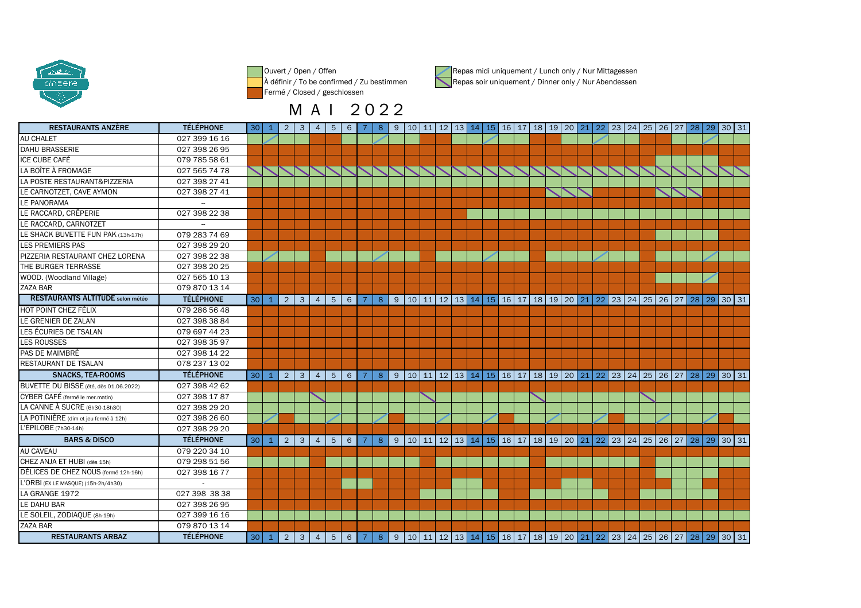

Ouvert / Open / Offen À définir / To be confirmed / Zu bestimmenFermé / Closed / geschlossen

M A I 2 0 2 2



RESTAURANTS ANZÈREE TÉLÉPHONE 30 1 2 3 4 5 6 7 8 9 10 11 12 13 14 15 16 17 18 19 20 21 22 23 24 25 26 27 28 29 30 31<br>COZZ 200 16 16 AU CHALET 027 399 16 16E 027 398 26 95 DAHU BRASSERIEE 079 785 58 61 ICE CUBE CAFÉE 027 565 74 78 LA BOÎTE À FROMAGEA 027 398 27 41 LA POSTE RESTAURANT&PIZZERIAN 027 398 27 41 LE CARNOTZET, CAVE AYMONLE PANORAMALE RACCARD, CRÊPERIE 027 398 22 38LE RACCARD, CARNOTZET -- LE SHACK BUVETTE FUN PAK (13h-17h) 079 283 74 69S 027 398 29 20 LES PREMIERS PASA 027 398 22 38 PIZZERIA RESTAURANT CHEZ LORENAE 027 398 20 25 THE BURGER TERRASSE 027 565 10 13WOOD. (Woodland Village)R 079 870 13 14 ZAZA BARRESTAURANTS ALTITUDE selon météo TÉLÉPHONE30 1 2 3 4 5 6 7 8 9 10 11 2 3 4 5 6 7 8 9 10 11 2 4 5 6 7 8 9 10 11 2 4 5 6 7 8 9 10 11 2 4 5 6 7 8 10 11 2 4 5 6 7 8 10 12 12 13 14 15 16 17 18 19 20 21 22 23 24 25 26 27 28 29 30 31 HOT POINT CHEZ FÉLIX 079 286 56 48N 027 398 38 84 LE GRENIER DE ZALANLES ÉCURIES DE TSALAN 079 697 44 23 LES ROUSSES 027 398 35 97 027 398 14 22PAS DE MAIMBRÉN 078 237 13 02 RESTAURANT DE TSALANSNACKS, TEA-ROOMSTÉLÉPHONE 30 1 2 3 4 5 6 7 8 9 10 11 2 3 4 10 12 13 14 15 16 17 18 19 20 21 22 23 24 25 26 27 28 29 30 31 BUVETTE DU BISSE (été, dès 01.06.2022) 027 398 42 62 027 398 17 87CYBER CAFÉ (fermé le mer.matin)027 398 29 20 LA CANNE À SUCRE (6h30-18h30) 027 398 26 60LA POTINIÈRE (dim et jeu fermé à 12h)027 398 29 20 L'ÉPILOBE (7h30-14h)**TÉLÉPHONE** BARS & DISCO30  $1$   $2$   $3$   $4$   $5$   $6$   $7$   $8$   $9$   $10$   $11$   $12$   $13$   $14$   $15$   $16$   $17$   $18$   $19$   $20$   $21$   $22$   $23$   $24$   $25$   $26$   $27$   $28$   $29$   $30$   $31$ AU CAVEAU 079 220 34 10 CHEZ ANJA ET HUBI (dès 15h) 079 298 51 56 027 398 16 77DÉLICES DE CHEZ NOUS (fermé 12h-16h)L'ORBI (EX LE MASQUE) (15h-2h/4h30) - 027 398 38 38 LA GRANGE 1972LE DAHU BAR 027 398 26 95 LE SOLEIL, ZODIAQUE (8h-19h) 027 399 16 16R 079 870 13 14 ZAZA BARRESTAURANTS ARBAZ TÉLÉPHONE<sup>30</sup> <sup>1</sup> <sup>2</sup> <sup>3</sup> <sup>4</sup> <sup>5</sup> <sup>6</sup> <sup>7</sup> <sup>8</sup> <sup>9</sup> <sup>10</sup> <sup>11</sup> <sup>12</sup> <sup>13</sup> <sup>14</sup> <sup>15</sup> <sup>16</sup> <sup>17</sup> <sup>18</sup> <sup>19</sup> <sup>20</sup> <sup>21</sup> <sup>22</sup> <sup>23</sup> <sup>24</sup> <sup>25</sup> <sup>26</sup> <sup>27</sup> <sup>28</sup> <sup>29</sup> <sup>30</sup> <sup>31</sup>